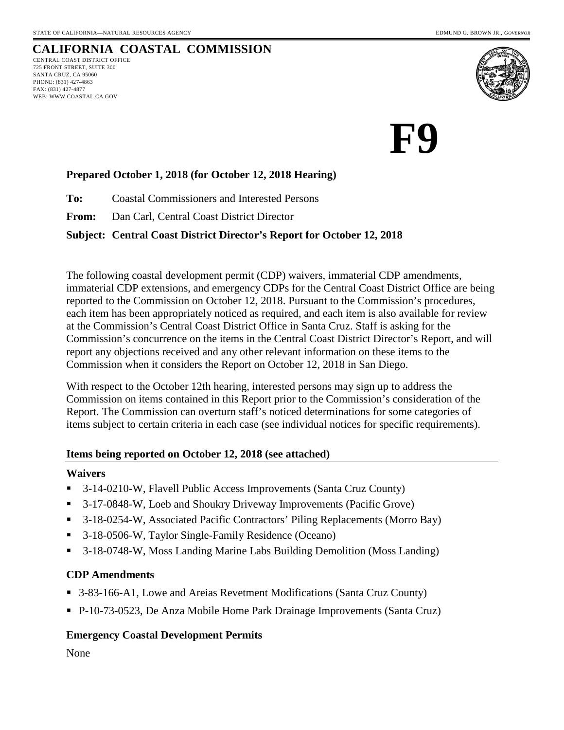

# **F9**

### **Prepared October 1, 2018 (for October 12, 2018 Hearing)**

**To:** Coastal Commissioners and Interested Persons

**From:** Dan Carl, Central Coast District Director

#### **Subject: Central Coast District Director's Report for October 12, 2018**

The following coastal development permit (CDP) waivers, immaterial CDP amendments, immaterial CDP extensions, and emergency CDPs for the Central Coast District Office are being reported to the Commission on October 12, 2018. Pursuant to the Commission's procedures, each item has been appropriately noticed as required, and each item is also available for review at the Commission's Central Coast District Office in Santa Cruz. Staff is asking for the Commission's concurrence on the items in the Central Coast District Director's Report, and will report any objections received and any other relevant information on these items to the Commission when it considers the Report on October 12, 2018 in San Diego.

With respect to the October 12th hearing, interested persons may sign up to address the Commission on items contained in this Report prior to the Commission's consideration of the Report. The Commission can overturn staff's noticed determinations for some categories of items subject to certain criteria in each case (see individual notices for specific requirements).

#### **Items being reported on October 12, 2018 (see attached)**

#### **Waivers**

- 3-14-0210-W, Flavell Public Access Improvements (Santa Cruz County)
- 3-17-0848-W, Loeb and Shoukry Driveway Improvements (Pacific Grove)
- 3-18-0254-W, Associated Pacific Contractors' Piling Replacements (Morro Bay)
- 3-18-0506-W, Taylor Single-Family Residence (Oceano)
- 3-18-0748-W, Moss Landing Marine Labs Building Demolition (Moss Landing)

### **CDP Amendments**

- 3-83-166-A1, Lowe and Areias Revetment Modifications (Santa Cruz County)
- P-10-73-0523, De Anza Mobile Home Park Drainage Improvements (Santa Cruz)

### **Emergency Coastal Development Permits**

None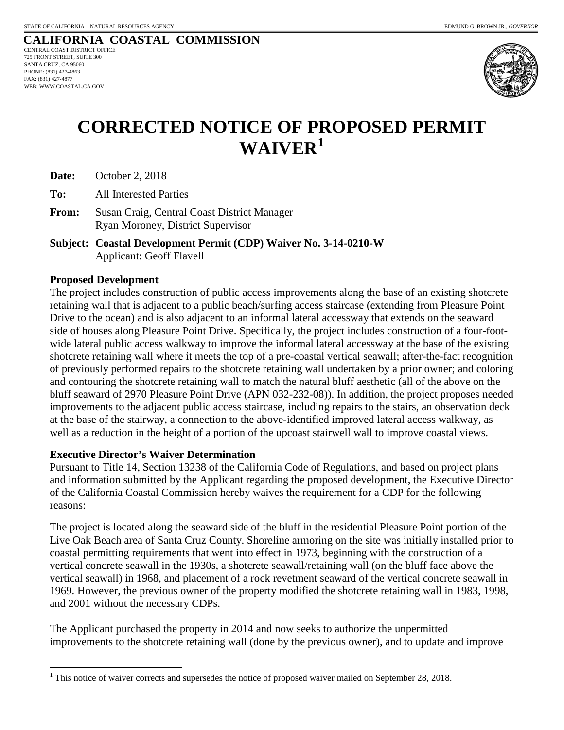

## **CORRECTED NOTICE OF PROPOSED PERMIT WAIVER[1](#page-1-0)**

**Date:** October 2, 2018

**To:** All Interested Parties

**From:** Susan Craig, Central Coast District Manager Ryan Moroney, District Supervisor

**Subject: Coastal Development Permit (CDP) Waiver No. 3-14-0210-W** Applicant: Geoff Flavell

#### **Proposed Development**

The project includes construction of public access improvements along the base of an existing shotcrete retaining wall that is adjacent to a public beach/surfing access staircase (extending from Pleasure Point Drive to the ocean) and is also adjacent to an informal lateral accessway that extends on the seaward side of houses along Pleasure Point Drive. Specifically, the project includes construction of a four-footwide lateral public access walkway to improve the informal lateral accessway at the base of the existing shotcrete retaining wall where it meets the top of a pre-coastal vertical seawall; after-the-fact recognition of previously performed repairs to the shotcrete retaining wall undertaken by a prior owner; and coloring and contouring the shotcrete retaining wall to match the natural bluff aesthetic (all of the above on the bluff seaward of 2970 Pleasure Point Drive (APN 032-232-08)). In addition, the project proposes needed improvements to the adjacent public access staircase, including repairs to the stairs, an observation deck at the base of the stairway, a connection to the above-identified improved lateral access walkway, as well as a reduction in the height of a portion of the upcoast stairwell wall to improve coastal views.

#### **Executive Director's Waiver Determination**

Pursuant to Title 14, Section 13238 of the California Code of Regulations, and based on project plans and information submitted by the Applicant regarding the proposed development, the Executive Director of the California Coastal Commission hereby waives the requirement for a CDP for the following reasons:

The project is located along the seaward side of the bluff in the residential Pleasure Point portion of the Live Oak Beach area of Santa Cruz County. Shoreline armoring on the site was initially installed prior to coastal permitting requirements that went into effect in 1973, beginning with the construction of a vertical concrete seawall in the 1930s, a shotcrete seawall/retaining wall (on the bluff face above the vertical seawall) in 1968, and placement of a rock revetment seaward of the vertical concrete seawall in 1969. However, the previous owner of the property modified the shotcrete retaining wall in 1983, 1998, and 2001 without the necessary CDPs.

The Applicant purchased the property in 2014 and now seeks to authorize the unpermitted improvements to the shotcrete retaining wall (done by the previous owner), and to update and improve

<span id="page-1-0"></span> $1$  This notice of waiver corrects and supersedes the notice of proposed waiver mailed on September 28, 2018.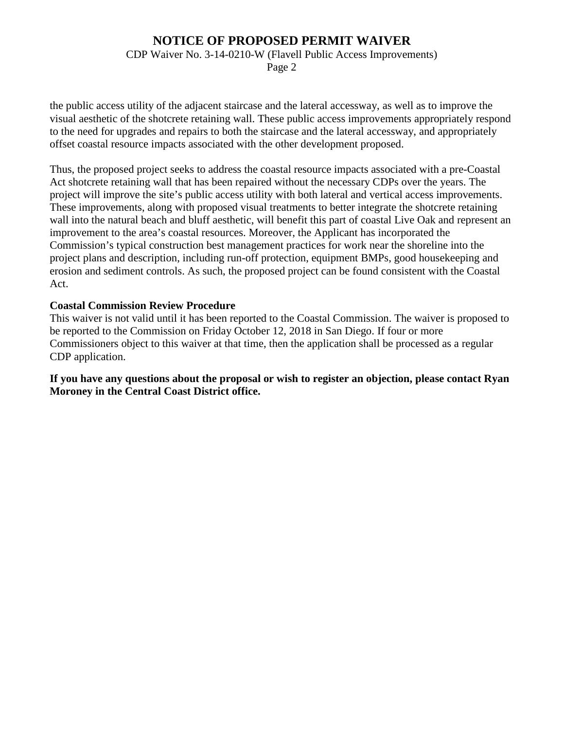### **NOTICE OF PROPOSED PERMIT WAIVER**

CDP Waiver No. 3-14-0210-W (Flavell Public Access Improvements)

Page 2

the public access utility of the adjacent staircase and the lateral accessway, as well as to improve the visual aesthetic of the shotcrete retaining wall. These public access improvements appropriately respond to the need for upgrades and repairs to both the staircase and the lateral accessway, and appropriately offset coastal resource impacts associated with the other development proposed.

Thus, the proposed project seeks to address the coastal resource impacts associated with a pre-Coastal Act shotcrete retaining wall that has been repaired without the necessary CDPs over the years. The project will improve the site's public access utility with both lateral and vertical access improvements. These improvements, along with proposed visual treatments to better integrate the shotcrete retaining wall into the natural beach and bluff aesthetic, will benefit this part of coastal Live Oak and represent an improvement to the area's coastal resources. Moreover, the Applicant has incorporated the Commission's typical construction best management practices for work near the shoreline into the project plans and description, including run-off protection, equipment BMPs, good housekeeping and erosion and sediment controls. As such, the proposed project can be found consistent with the Coastal Act.

#### **Coastal Commission Review Procedure**

This waiver is not valid until it has been reported to the Coastal Commission. The waiver is proposed to be reported to the Commission on Friday October 12, 2018 in San Diego. If four or more Commissioners object to this waiver at that time, then the application shall be processed as a regular CDP application.

**If you have any questions about the proposal or wish to register an objection, please contact Ryan Moroney in the Central Coast District office.**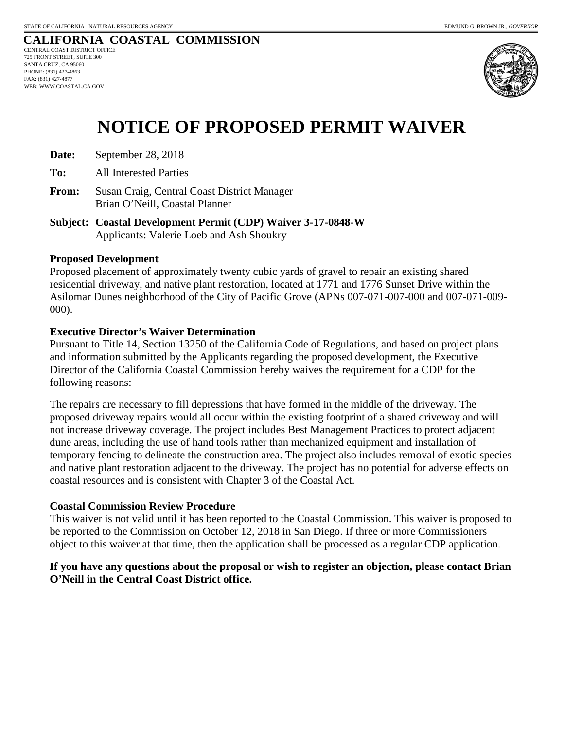

# **NOTICE OF PROPOSED PERMIT WAIVER**

- **Date:** September 28, 2018
- **To:** All Interested Parties
- **From:** Susan Craig, Central Coast District Manager Brian O'Neill, Coastal Planner
- **Subject: Coastal Development Permit (CDP) Waiver 3-17-0848-W** Applicants: Valerie Loeb and Ash Shoukry

#### **Proposed Development**

Proposed placement of approximately twenty cubic yards of gravel to repair an existing shared residential driveway, and native plant restoration, located at 1771 and 1776 Sunset Drive within the Asilomar Dunes neighborhood of the City of Pacific Grove (APNs 007-071-007-000 and 007-071-009- 000).

#### **Executive Director's Waiver Determination**

Pursuant to Title 14, Section 13250 of the California Code of Regulations, and based on project plans and information submitted by the Applicants regarding the proposed development, the Executive Director of the California Coastal Commission hereby waives the requirement for a CDP for the following reasons:

The repairs are necessary to fill depressions that have formed in the middle of the driveway. The proposed driveway repairs would all occur within the existing footprint of a shared driveway and will not increase driveway coverage. The project includes Best Management Practices to protect adjacent dune areas, including the use of hand tools rather than mechanized equipment and installation of temporary fencing to delineate the construction area. The project also includes removal of exotic species and native plant restoration adjacent to the driveway. The project has no potential for adverse effects on coastal resources and is consistent with Chapter 3 of the Coastal Act.

#### **Coastal Commission Review Procedure**

This waiver is not valid until it has been reported to the Coastal Commission. This waiver is proposed to be reported to the Commission on October 12, 2018 in San Diego. If three or more Commissioners object to this waiver at that time, then the application shall be processed as a regular CDP application.

#### **If you have any questions about the proposal or wish to register an objection, please contact Brian O'Neill in the Central Coast District office.**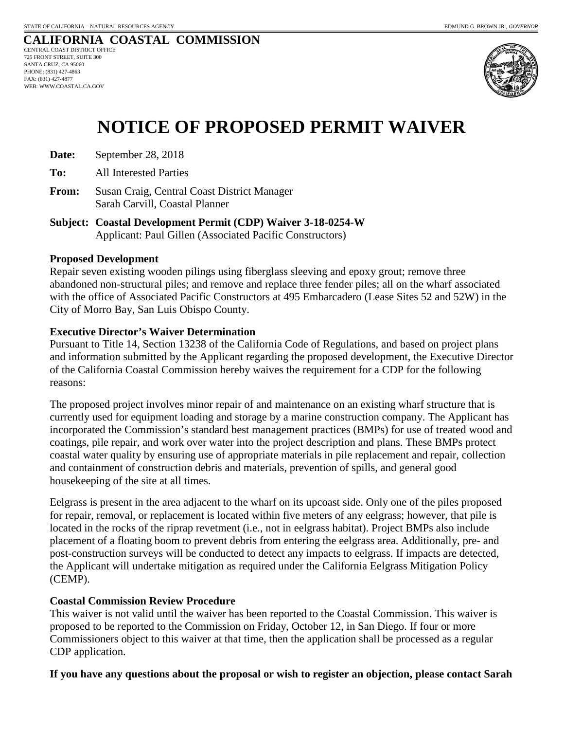

# **NOTICE OF PROPOSED PERMIT WAIVER**

- **Date:** September 28, 2018
- **To:** All Interested Parties
- **From:** Susan Craig, Central Coast District Manager Sarah Carvill, Coastal Planner
- **Subject: Coastal Development Permit (CDP) Waiver 3-18-0254-W** Applicant: Paul Gillen (Associated Pacific Constructors)

#### **Proposed Development**

Repair seven existing wooden pilings using fiberglass sleeving and epoxy grout; remove three abandoned non-structural piles; and remove and replace three fender piles; all on the wharf associated with the office of Associated Pacific Constructors at 495 Embarcadero (Lease Sites 52 and 52W) in the City of Morro Bay, San Luis Obispo County.

#### **Executive Director's Waiver Determination**

Pursuant to Title 14, Section 13238 of the California Code of Regulations, and based on project plans and information submitted by the Applicant regarding the proposed development, the Executive Director of the California Coastal Commission hereby waives the requirement for a CDP for the following reasons:

The proposed project involves minor repair of and maintenance on an existing wharf structure that is currently used for equipment loading and storage by a marine construction company. The Applicant has incorporated the Commission's standard best management practices (BMPs) for use of treated wood and coatings, pile repair, and work over water into the project description and plans. These BMPs protect coastal water quality by ensuring use of appropriate materials in pile replacement and repair, collection and containment of construction debris and materials, prevention of spills, and general good housekeeping of the site at all times.

Eelgrass is present in the area adjacent to the wharf on its upcoast side. Only one of the piles proposed for repair, removal, or replacement is located within five meters of any eelgrass; however, that pile is located in the rocks of the riprap revetment (i.e., not in eelgrass habitat). Project BMPs also include placement of a floating boom to prevent debris from entering the eelgrass area. Additionally, pre- and post-construction surveys will be conducted to detect any impacts to eelgrass. If impacts are detected, the Applicant will undertake mitigation as required under the California Eelgrass Mitigation Policy (CEMP).

#### **Coastal Commission Review Procedure**

This waiver is not valid until the waiver has been reported to the Coastal Commission. This waiver is proposed to be reported to the Commission on Friday, October 12, in San Diego. If four or more Commissioners object to this waiver at that time, then the application shall be processed as a regular CDP application.

#### **If you have any questions about the proposal or wish to register an objection, please contact Sarah**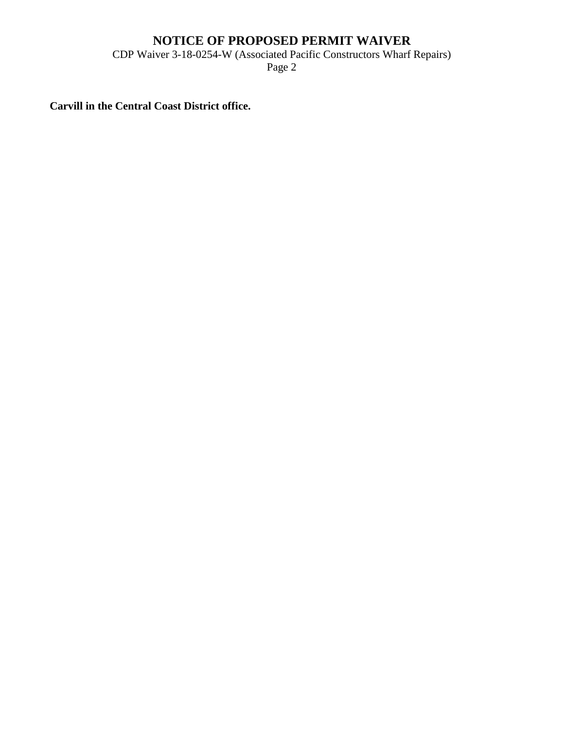### **NOTICE OF PROPOSED PERMIT WAIVER**

CDP Waiver 3-18-0254-W (Associated Pacific Constructors Wharf Repairs)

Page 2

**Carvill in the Central Coast District office.**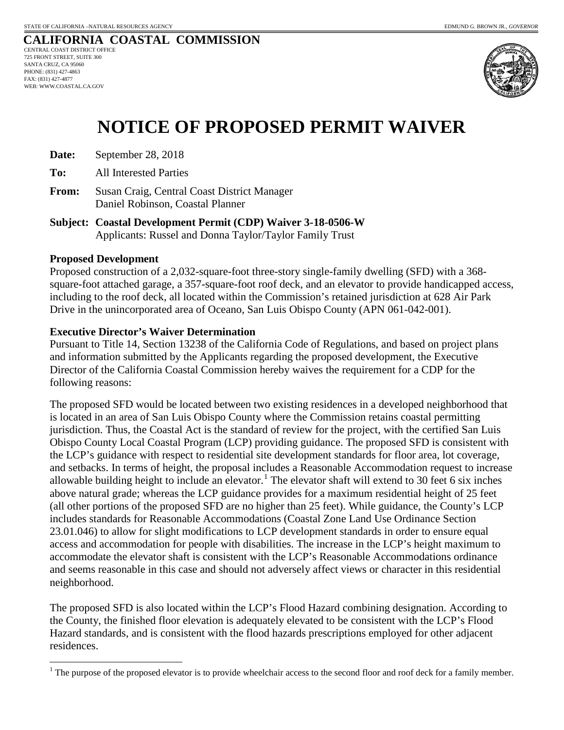

# **NOTICE OF PROPOSED PERMIT WAIVER**

**Date:** September 28, 2018

**To:** All Interested Parties

- **From:** Susan Craig, Central Coast District Manager Daniel Robinson, Coastal Planner
- **Subject: Coastal Development Permit (CDP) Waiver 3-18-0506-W** Applicants: Russel and Donna Taylor/Taylor Family Trust

#### **Proposed Development**

Proposed construction of a 2,032-square-foot three-story single-family dwelling (SFD) with a 368 square-foot attached garage, a 357-square-foot roof deck, and an elevator to provide handicapped access, including to the roof deck, all located within the Commission's retained jurisdiction at 628 Air Park Drive in the unincorporated area of Oceano, San Luis Obispo County (APN 061-042-001).

#### **Executive Director's Waiver Determination**

Pursuant to Title 14, Section 13238 of the California Code of Regulations, and based on project plans and information submitted by the Applicants regarding the proposed development, the Executive Director of the California Coastal Commission hereby waives the requirement for a CDP for the following reasons:

The proposed SFD would be located between two existing residences in a developed neighborhood that is located in an area of San Luis Obispo County where the Commission retains coastal permitting jurisdiction. Thus, the Coastal Act is the standard of review for the project, with the certified San Luis Obispo County Local Coastal Program (LCP) providing guidance. The proposed SFD is consistent with the LCP's guidance with respect to residential site development standards for floor area, lot coverage, and setbacks. In terms of height, the proposal includes a Reasonable Accommodation request to increase allowable building height to include an elevator.<sup>[1](#page-6-0)</sup> The elevator shaft will extend to 30 feet 6 six inches above natural grade; whereas the LCP guidance provides for a maximum residential height of 25 feet (all other portions of the proposed SFD are no higher than 25 feet). While guidance, the County's LCP includes standards for Reasonable Accommodations (Coastal Zone Land Use Ordinance Section 23.01.046) to allow for slight modifications to LCP development standards in order to ensure equal access and accommodation for people with disabilities. The increase in the LCP's height maximum to accommodate the elevator shaft is consistent with the LCP's Reasonable Accommodations ordinance and seems reasonable in this case and should not adversely affect views or character in this residential neighborhood.

The proposed SFD is also located within the LCP's Flood Hazard combining designation. According to the County, the finished floor elevation is adequately elevated to be consistent with the LCP's Flood Hazard standards, and is consistent with the flood hazards prescriptions employed for other adjacent residences.

<span id="page-6-0"></span><sup>&</sup>lt;sup>1</sup> The purpose of the proposed elevator is to provide wheelchair access to the second floor and roof deck for a family member.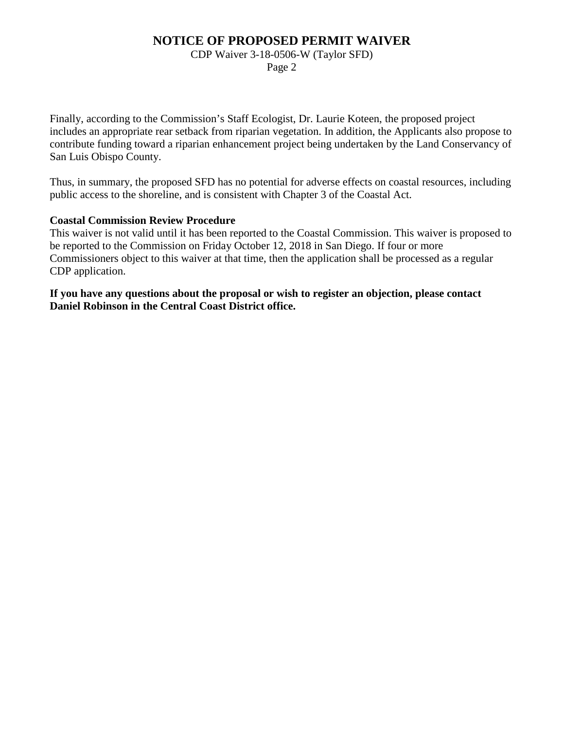### **NOTICE OF PROPOSED PERMIT WAIVER**

#### CDP Waiver 3-18-0506-W (Taylor SFD)

Page 2

Finally, according to the Commission's Staff Ecologist, Dr. Laurie Koteen, the proposed project includes an appropriate rear setback from riparian vegetation. In addition, the Applicants also propose to contribute funding toward a riparian enhancement project being undertaken by the Land Conservancy of San Luis Obispo County.

Thus, in summary, the proposed SFD has no potential for adverse effects on coastal resources, including public access to the shoreline, and is consistent with Chapter 3 of the Coastal Act.

#### **Coastal Commission Review Procedure**

This waiver is not valid until it has been reported to the Coastal Commission. This waiver is proposed to be reported to the Commission on Friday October 12, 2018 in San Diego. If four or more Commissioners object to this waiver at that time, then the application shall be processed as a regular CDP application.

**If you have any questions about the proposal or wish to register an objection, please contact Daniel Robinson in the Central Coast District office.**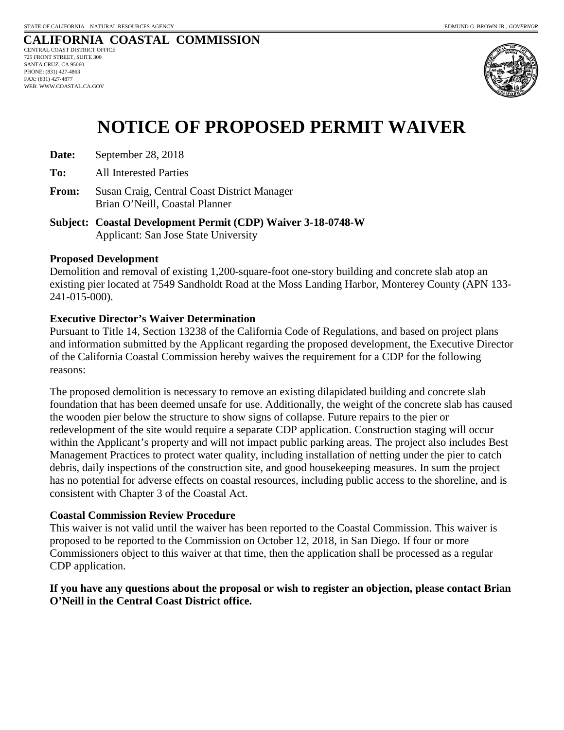

# **NOTICE OF PROPOSED PERMIT WAIVER**

- **Date:** September 28, 2018
- **To:** All Interested Parties
- **From:** Susan Craig, Central Coast District Manager Brian O'Neill, Coastal Planner
- **Subject: Coastal Development Permit (CDP) Waiver 3-18-0748-W** Applicant: San Jose State University

#### **Proposed Development**

Demolition and removal of existing 1,200-square-foot one-story building and concrete slab atop an existing pier located at 7549 Sandholdt Road at the Moss Landing Harbor, Monterey County (APN 133- 241-015-000).

#### **Executive Director's Waiver Determination**

Pursuant to Title 14, Section 13238 of the California Code of Regulations, and based on project plans and information submitted by the Applicant regarding the proposed development, the Executive Director of the California Coastal Commission hereby waives the requirement for a CDP for the following reasons:

The proposed demolition is necessary to remove an existing dilapidated building and concrete slab foundation that has been deemed unsafe for use. Additionally, the weight of the concrete slab has caused the wooden pier below the structure to show signs of collapse. Future repairs to the pier or redevelopment of the site would require a separate CDP application. Construction staging will occur within the Applicant's property and will not impact public parking areas. The project also includes Best Management Practices to protect water quality, including installation of netting under the pier to catch debris, daily inspections of the construction site, and good housekeeping measures. In sum the project has no potential for adverse effects on coastal resources, including public access to the shoreline, and is consistent with Chapter 3 of the Coastal Act.

#### **Coastal Commission Review Procedure**

This waiver is not valid until the waiver has been reported to the Coastal Commission. This waiver is proposed to be reported to the Commission on October 12, 2018, in San Diego. If four or more Commissioners object to this waiver at that time, then the application shall be processed as a regular CDP application.

#### **If you have any questions about the proposal or wish to register an objection, please contact Brian O'Neill in the Central Coast District office.**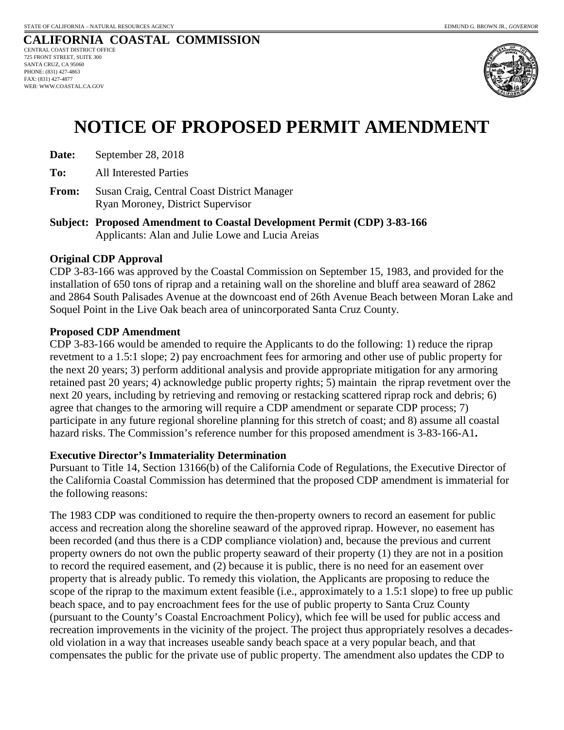

# **NOTICE OF PROPOSED PERMIT AMENDMENT**

- **Date:** September 28, 2018
- **To:** All Interested Parties
- **From:** Susan Craig, Central Coast District Manager Ryan Moroney, District Supervisor
- **Subject: Proposed Amendment to Coastal Development Permit (CDP) 3-83-166** Applicants: Alan and Julie Lowe and Lucia Areias

#### **Original CDP Approval**

CDP 3-83-166 was approved by the Coastal Commission on September 15, 1983, and provided for the installation of 650 tons of riprap and a retaining wall on the shoreline and bluff area seaward of 2862 and 2864 South Palisades Avenue at the downcoast end of 26th Avenue Beach between Moran Lake and Soquel Point in the Live Oak beach area of unincorporated Santa Cruz County.

#### **Proposed CDP Amendment**

CDP 3-83-166 would be amended to require the Applicants to do the following: 1) reduce the riprap revetment to a 1.5:1 slope; 2) pay encroachment fees for armoring and other use of public property for the next 20 years; 3) perform additional analysis and provide appropriate mitigation for any armoring retained past 20 years; 4) acknowledge public property rights; 5) maintain the riprap revetment over the next 20 years, including by retrieving and removing or restacking scattered riprap rock and debris; 6) agree that changes to the armoring will require a CDP amendment or separate CDP process; 7) participate in any future regional shoreline planning for this stretch of coast; and 8) assume all coastal hazard risks. The Commission's reference number for this proposed amendment is 3-83-166-A1**.**

#### **Executive Director's Immateriality Determination**

Pursuant to Title 14, Section 13166(b) of the California Code of Regulations, the Executive Director of the California Coastal Commission has determined that the proposed CDP amendment is immaterial for the following reasons:

The 1983 CDP was conditioned to require the then-property owners to record an easement for public access and recreation along the shoreline seaward of the approved riprap. However, no easement has been recorded (and thus there is a CDP compliance violation) and, because the previous and current property owners do not own the public property seaward of their property (1) they are not in a position to record the required easement, and (2) because it is public, there is no need for an easement over property that is already public. To remedy this violation, the Applicants are proposing to reduce the scope of the riprap to the maximum extent feasible (i.e., approximately to a 1.5:1 slope) to free up public beach space, and to pay encroachment fees for the use of public property to Santa Cruz County (pursuant to the County's Coastal Encroachment Policy), which fee will be used for public access and recreation improvements in the vicinity of the project. The project thus appropriately resolves a decadesold violation in a way that increases useable sandy beach space at a very popular beach, and that compensates the public for the private use of public property. The amendment also updates the CDP to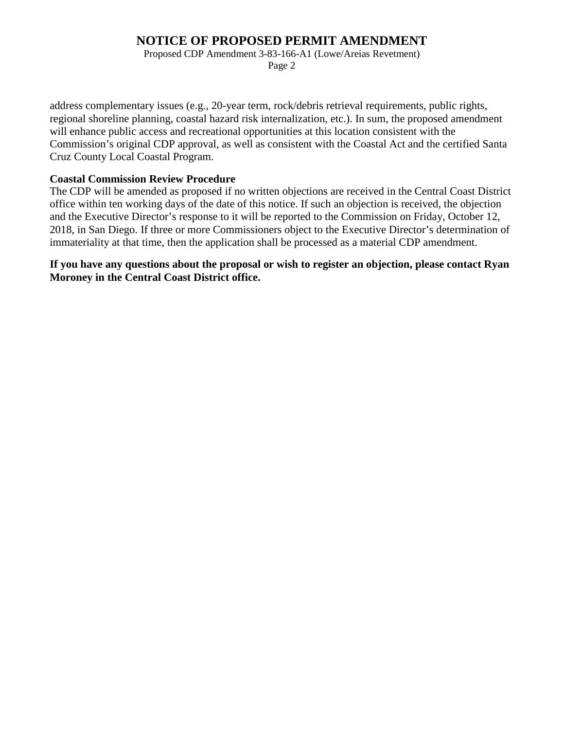### **NOTICE OF PROPOSED PERMIT AMENDMENT**

Proposed CDP Amendment 3-83-166-A1 (Lowe/Areias Revetment)

Page 2

address complementary issues (e.g., 20-year term, rock/debris retrieval requirements, public rights, regional shoreline planning, coastal hazard risk internalization, etc.). In sum, the proposed amendment will enhance public access and recreational opportunities at this location consistent with the Commission's original CDP approval, as well as consistent with the Coastal Act and the certified Santa Cruz County Local Coastal Program.

#### **Coastal Commission Review Procedure**

The CDP will be amended as proposed if no written objections are received in the Central Coast District office within ten working days of the date of this notice. If such an objection is received, the objection and the Executive Director's response to it will be reported to the Commission on Friday, October 12, 2018, in San Diego. If three or more Commissioners object to the Executive Director's determination of immateriality at that time, then the application shall be processed as a material CDP amendment.

**If you have any questions about the proposal or wish to register an objection, please contact Ryan Moroney in the Central Coast District office.**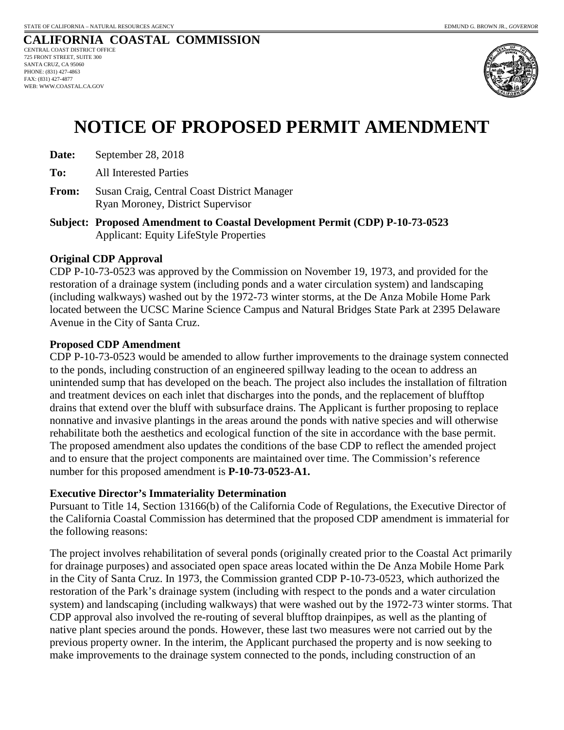

# **NOTICE OF PROPOSED PERMIT AMENDMENT**

- **Date:** September 28, 2018
- **To:** All Interested Parties
- **From:** Susan Craig, Central Coast District Manager Ryan Moroney, District Supervisor
- **Subject: Proposed Amendment to Coastal Development Permit (CDP) P-10-73-0523** Applicant: Equity LifeStyle Properties

#### **Original CDP Approval**

CDP P-10-73-0523 was approved by the Commission on November 19, 1973, and provided for the restoration of a drainage system (including ponds and a water circulation system) and landscaping (including walkways) washed out by the 1972-73 winter storms, at the De Anza Mobile Home Park located between the UCSC Marine Science Campus and Natural Bridges State Park at 2395 Delaware Avenue in the City of Santa Cruz.

#### **Proposed CDP Amendment**

CDP P-10-73-0523 would be amended to allow further improvements to the drainage system connected to the ponds, including construction of an engineered spillway leading to the ocean to address an unintended sump that has developed on the beach. The project also includes the installation of filtration and treatment devices on each inlet that discharges into the ponds, and the replacement of blufftop drains that extend over the bluff with subsurface drains. The Applicant is further proposing to replace nonnative and invasive plantings in the areas around the ponds with native species and will otherwise rehabilitate both the aesthetics and ecological function of the site in accordance with the base permit. The proposed amendment also updates the conditions of the base CDP to reflect the amended project and to ensure that the project components are maintained over time. The Commission's reference number for this proposed amendment is **P-10-73-0523-A1.**

#### **Executive Director's Immateriality Determination**

Pursuant to Title 14, Section 13166(b) of the California Code of Regulations, the Executive Director of the California Coastal Commission has determined that the proposed CDP amendment is immaterial for the following reasons:

The project involves rehabilitation of several ponds (originally created prior to the Coastal Act primarily for drainage purposes) and associated open space areas located within the De Anza Mobile Home Park in the City of Santa Cruz. In 1973, the Commission granted CDP P-10-73-0523, which authorized the restoration of the Park's drainage system (including with respect to the ponds and a water circulation system) and landscaping (including walkways) that were washed out by the 1972-73 winter storms. That CDP approval also involved the re-routing of several blufftop drainpipes, as well as the planting of native plant species around the ponds. However, these last two measures were not carried out by the previous property owner. In the interim, the Applicant purchased the property and is now seeking to make improvements to the drainage system connected to the ponds, including construction of an